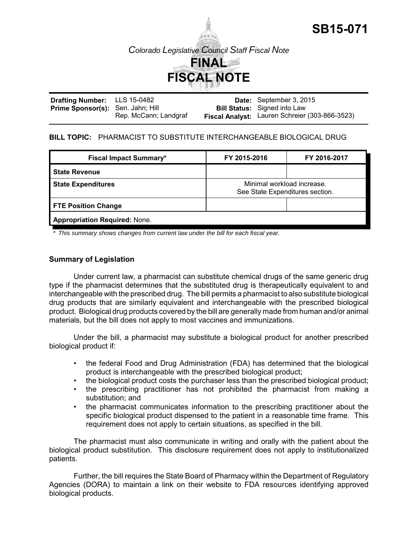

**SB15-071**

| <b>Drafting Number:</b> LLS 15-0482      |                       | Date: September 3, 2015                        |
|------------------------------------------|-----------------------|------------------------------------------------|
| <b>Prime Sponsor(s):</b> Sen. Jahn; Hill |                       | <b>Bill Status:</b> Signed into Law            |
|                                          | Rep. McCann; Landgraf | Fiscal Analyst: Lauren Schreier (303-866-3523) |

# **BILL TOPIC:** PHARMACIST TO SUBSTITUTE INTERCHANGEABLE BIOLOGICAL DRUG

| <b>Fiscal Impact Summary*</b>        | FY 2015-2016                                                  | FY 2016-2017 |
|--------------------------------------|---------------------------------------------------------------|--------------|
| <b>State Revenue</b>                 |                                                               |              |
| <b>State Expenditures</b>            | Minimal workload increase.<br>See State Expenditures section. |              |
| <b>FTE Position Change</b>           |                                                               |              |
| <b>Appropriation Required: None.</b> |                                                               |              |

*\* This summary shows changes from current law under the bill for each fiscal year.* 

# **Summary of Legislation**

Under current law, a pharmacist can substitute chemical drugs of the same generic drug type if the pharmacist determines that the substituted drug is therapeutically equivalent to and interchangeable with the prescribed drug. The bill permits a pharmacist to also substitute biological drug products that are similarly equivalent and interchangeable with the prescribed biological product. Biological drug products covered by the bill are generally made from human and/or animal materials, but the bill does not apply to most vaccines and immunizations.

Under the bill, a pharmacist may substitute a biological product for another prescribed biological product if:

- the federal Food and Drug Administration (FDA) has determined that the biological product is interchangeable with the prescribed biological product;
- the biological product costs the purchaser less than the prescribed biological product;
- the prescribing practitioner has not prohibited the pharmacist from making a substitution; and
- the pharmacist communicates information to the prescribing practitioner about the specific biological product dispensed to the patient in a reasonable time frame. This requirement does not apply to certain situations, as specified in the bill.

The pharmacist must also communicate in writing and orally with the patient about the biological product substitution. This disclosure requirement does not apply to institutionalized patients.

Further, the bill requires the State Board of Pharmacy within the Department of Regulatory Agencies (DORA) to maintain a link on their website to FDA resources identifying approved biological products.